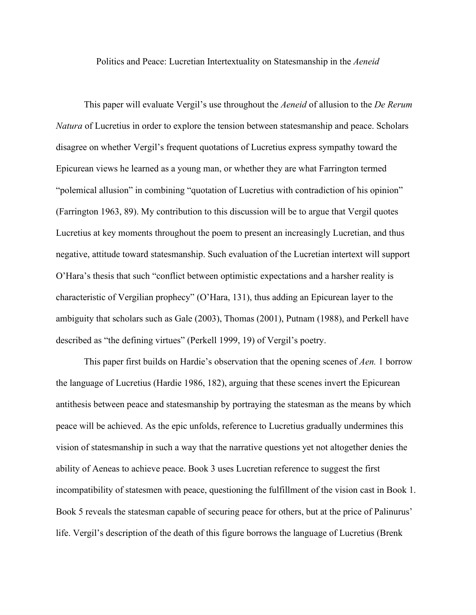Politics and Peace: Lucretian Intertextuality on Statesmanship in the *Aeneid*

This paper will evaluate Vergil's use throughout the *Aeneid* of allusion to the *De Rerum Natura* of Lucretius in order to explore the tension between statesmanship and peace. Scholars disagree on whether Vergil's frequent quotations of Lucretius express sympathy toward the Epicurean views he learned as a young man, or whether they are what Farrington termed "polemical allusion" in combining "quotation of Lucretius with contradiction of his opinion" (Farrington 1963, 89). My contribution to this discussion will be to argue that Vergil quotes Lucretius at key moments throughout the poem to present an increasingly Lucretian, and thus negative, attitude toward statesmanship. Such evaluation of the Lucretian intertext will support O'Hara's thesis that such "conflict between optimistic expectations and a harsher reality is characteristic of Vergilian prophecy" (O'Hara, 131), thus adding an Epicurean layer to the ambiguity that scholars such as Gale (2003), Thomas (2001), Putnam (1988), and Perkell have described as "the defining virtues" (Perkell 1999, 19) of Vergil's poetry.

This paper first builds on Hardie's observation that the opening scenes of *Aen.* 1 borrow the language of Lucretius (Hardie 1986, 182), arguing that these scenes invert the Epicurean antithesis between peace and statesmanship by portraying the statesman as the means by which peace will be achieved. As the epic unfolds, reference to Lucretius gradually undermines this vision of statesmanship in such a way that the narrative questions yet not altogether denies the ability of Aeneas to achieve peace. Book 3 uses Lucretian reference to suggest the first incompatibility of statesmen with peace, questioning the fulfillment of the vision cast in Book 1. Book 5 reveals the statesman capable of securing peace for others, but at the price of Palinurus' life. Vergil's description of the death of this figure borrows the language of Lucretius (Brenk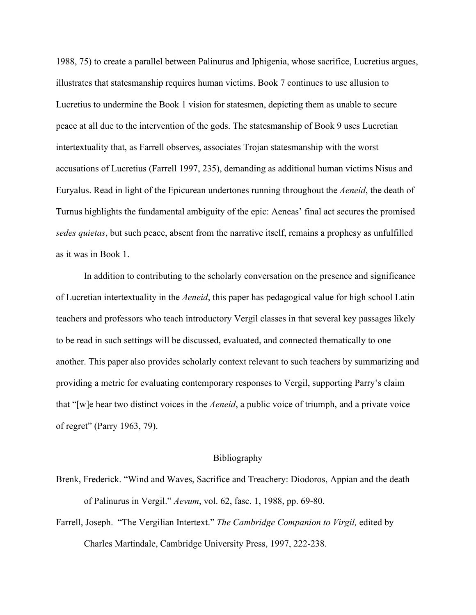1988, 75) to create a parallel between Palinurus and Iphigenia, whose sacrifice, Lucretius argues, illustrates that statesmanship requires human victims. Book 7 continues to use allusion to Lucretius to undermine the Book 1 vision for statesmen, depicting them as unable to secure peace at all due to the intervention of the gods. The statesmanship of Book 9 uses Lucretian intertextuality that, as Farrell observes, associates Trojan statesmanship with the worst accusations of Lucretius (Farrell 1997, 235), demanding as additional human victims Nisus and Euryalus. Read in light of the Epicurean undertones running throughout the *Aeneid*, the death of Turnus highlights the fundamental ambiguity of the epic: Aeneas' final act secures the promised *sedes quietas*, but such peace, absent from the narrative itself, remains a prophesy as unfulfilled as it was in Book 1.

In addition to contributing to the scholarly conversation on the presence and significance of Lucretian intertextuality in the *Aeneid*, this paper has pedagogical value for high school Latin teachers and professors who teach introductory Vergil classes in that several key passages likely to be read in such settings will be discussed, evaluated, and connected thematically to one another. This paper also provides scholarly context relevant to such teachers by summarizing and providing a metric for evaluating contemporary responses to Vergil, supporting Parry's claim that "[w]e hear two distinct voices in the *Aeneid*, a public voice of triumph, and a private voice of regret" (Parry 1963, 79).

## Bibliography

- Brenk, Frederick. "Wind and Waves, Sacrifice and Treachery: Diodoros, Appian and the death of Palinurus in Vergil." *Aevum*, vol. 62, fasc. 1, 1988, pp. 69-80.
- Farrell, Joseph. "The Vergilian Intertext." *The Cambridge Companion to Virgil,* edited by Charles Martindale, Cambridge University Press, 1997, 222-238.